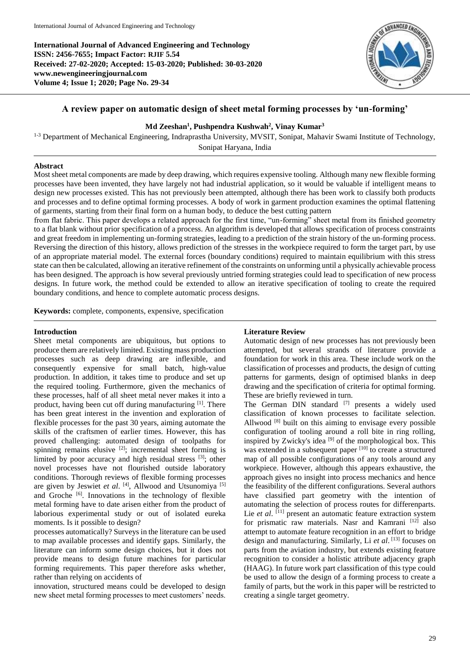**International Journal of Advanced Engineering and Technology ISSN: 2456-7655; Impact Factor: RJIF 5.54 Received: 27-02-2020; Accepted: 15-03-2020; Published: 30-03-2020 www.newengineeringjournal.com Volume 4; Issue 1; 2020; Page No. 29-34**



# **A review paper on automatic design of sheet metal forming processes by 'un-forming'**

# **Md Zeeshan<sup>1</sup> , Pushpendra Kushwah<sup>2</sup> , Vinay Kumar<sup>3</sup>**

1-3 Department of Mechanical Engineering, Indraprastha University, MVSIT, Sonipat, Mahavir Swami Institute of Technology, Sonipat Haryana, India

# **Abstract**

Most sheet metal components are made by deep drawing, which requires expensive tooling. Although many new flexible forming processes have been invented, they have largely not had industrial application, so it would be valuable if intelligent means to design new processes existed. This has not previously been attempted, although there has been work to classify both products and processes and to define optimal forming processes. A body of work in garment production examines the optimal flattening of garments, starting from their final form on a human body, to deduce the best cutting pattern

from flat fabric. This paper develops a related approach for the first time, "un-forming" sheet metal from its finished geometry to a flat blank without prior specification of a process. An algorithm is developed that allows specification of process constraints and great freedom in implementing un-forming strategies, leading to a prediction of the strain history of the un-forming process. Reversing the direction of this history, allows prediction of the stresses in the workpiece required to form the target part, by use of an appropriate material model. The external forces (boundary conditions) required to maintain equilibrium with this stress state can then be calculated, allowing an iterative refinement of the constraints on unforming until a physically achievable process has been designed. The approach is how several previously untried forming strategies could lead to specification of new process designs. In future work, the method could be extended to allow an iterative specification of tooling to create the required boundary conditions, and hence to complete automatic process designs.

**Keywords:** complete, components, expensive, specification

### **Introduction**

Sheet metal components are ubiquitous, but options to produce them are relatively limited. Existing mass production processes such as deep drawing are inflexible, and consequently expensive for small batch, high-value production. In addition, it takes time to produce and set up the required tooling. Furthermore, given the mechanics of these processes, half of all sheet metal never makes it into a product, having been cut off during manufacturing [1]. There has been great interest in the invention and exploration of flexible processes for the past 30 years, aiming automate the skills of the craftsmen of earlier times. However, this has proved challenging: automated design of toolpaths for spinning remains elusive  $[2]$ ; incremental sheet forming is limited by poor accuracy and high residual stress [3]; other novel processes have not flourished outside laboratory conditions. Thorough reviews of flexible forming processes are given by Jeswiet et al. [4], Allwood and Utsunomiya<sup>[5]</sup> and Groche [6]. Innovations in the technology of flexible metal forming have to date arisen either from the product of laborious experimental study or out of isolated eureka moments. Is it possible to design?

processes automatically? Surveys in the literature can be used to map available processes and identify gaps. Similarly, the literature can inform some design choices, but it does not provide means to design future machines for particular forming requirements. This paper therefore asks whether, rather than relying on accidents of

innovation, structured means could be developed to design new sheet metal forming processes to meet customers' needs.

## **Literature Review**

Automatic design of new processes has not previously been attempted, but several strands of literature provide a foundation for work in this area. These include work on the classification of processes and products, the design of cutting patterns for garments, design of optimised blanks in deep drawing and the specification of criteria for optimal forming. These are briefly reviewed in turn.

The German DIN standard [7] presents a widely used classification of known processes to facilitate selection. Allwood  $[8]$  built on this aiming to envisage every possible configuration of tooling around a roll bite in ring rolling, inspired by Zwicky's idea  $[9]$  of the morphological box. This was extended in a subsequent paper <sup>[10]</sup> to create a structured map of all possible configurations of any tools around any workpiece. However, although this appears exhaustive, the approach gives no insight into process mechanics and hence the feasibility of the different configurations. Several authors have classified part geometry with the intention of automating the selection of process routes for differenparts. Lie et al. [11] present an automatic feature extraction system for prismatic raw materials. Nasr and Kamrani [12] also attempt to automate feature recognition in an effort to bridge design and manufacturing. Similarly, Li *et al*. [13] focuses on parts from the aviation industry, but extends existing feature recognition to consider a holistic attribute adjacency graph (HAAG). In future work part classification of this type could be used to allow the design of a forming process to create a family of parts, but the work in this paper will be restricted to creating a single target geometry.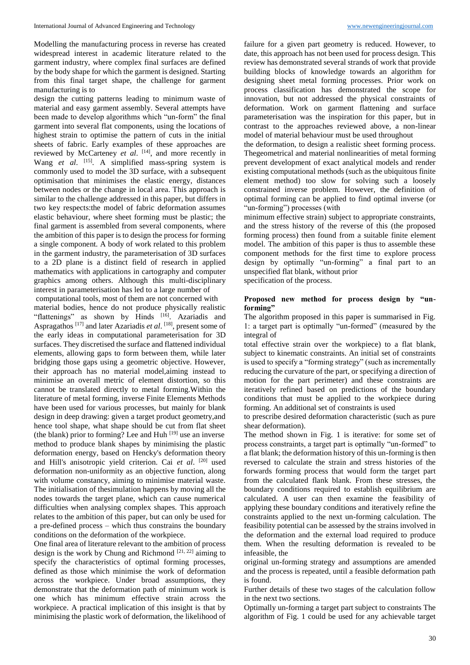Modelling the manufacturing process in reverse has created widespread interest in academic literature related to the garment industry, where complex final surfaces are defined by the body shape for which the garment is designed. Starting from this final target shape, the challenge for garment manufacturing is to

design the cutting patterns leading to minimum waste of material and easy garment assembly. Several attempts have been made to develop algorithms which "un-form" the final garment into several flat components, using the locations of highest strain to optimise the pattern of cuts in the initial sheets of fabric. Early examples of these approaches are reviewed by McCarteney *et al.* <sup>[14]</sup>, and more recently in Wang *et al.* <sup>[15]</sup>. A simplified mass-spring system is commonly used to model the 3D surface, with a subsequent optimisation that minimises the elastic energy, distances between nodes or the change in local area. This approach is similar to the challenge addressed in this paper, but differs in two key respects:the model of fabric deformation assumes elastic behaviour, where sheet forming must be plastic; the final garment is assembled from several components, where the ambition of this paper is to design the process for forming a single component. A body of work related to this problem in the garment industry, the parameterisation of 3D surfaces to a 2D plane is a distinct field of research in applied mathematics with applications in cartography and computer graphics among others. Although this multi-disciplinary interest in parameterisation has led to a large number of

computational tools, most of them are not concerned with material bodies, hence do not produce physically realistic "flattenings" as shown by Hinds [16]. Azariadis and Aspragathos<sup>[17]</sup> and later Azariadis *et al*. <sup>[18]</sup>, present some of the early ideas in computational parameterisation for 3D surfaces. They discretised the surface and flattened individual elements, allowing gaps to form between them, while later bridging those gaps using a geometric objective. However, their approach has no material model,aiming instead to minimise an overall metric of element distortion, so this cannot be translated directly to metal forming.Within the literature of metal forming, inverse Finite Elements Methods have been used for various processes, but mainly for blank design in deep drawing: given a target product geometry,and hence tool shape, what shape should be cut from flat sheet (the blank) prior to forming? Lee and Huh  $[19]$  use an inverse method to produce blank shapes by minimising the plastic deformation energy, based on Hencky's deformation theory and Hill's anisotropic yield criterion. Cai *et al*. [20] used deformation non-uniformity as an objective function, along with volume constancy, aiming to minimise material waste. The initialisation of thesimulation happens by moving all the nodes towards the target plane, which can cause numerical difficulties when analysing complex shapes. This approach relates to the ambition of this paper, but can only be used for a pre-defined process – which thus constrains the boundary conditions on the deformation of the workpiece.

One final area of literature relevant to the ambition of process design is the work by Chung and Richmond  $[21, 22]$  aiming to specify the characteristics of optimal forming processes, defined as those which minimise the work of deformation across the workpiece. Under broad assumptions, they demonstrate that the deformation path of minimum work is one which has minimum effective strain across the workpiece. A practical implication of this insight is that by minimising the plastic work of deformation, the likelihood of failure for a given part geometry is reduced. However, to date, this approach has not been used for process design. This review has demonstrated several strands of work that provide building blocks of knowledge towards an algorithm for designing sheet metal forming processes. Prior work on process classification has demonstrated the scope for innovation, but not addressed the physical constraints of deformation. Work on garment flattening and surface parameterisation was the inspiration for this paper, but in contrast to the approaches reviewed above, a non-linear model of material behaviour must be used throughout

the deformation, to design a realistic sheet forming process. Thegeometrical and material nonlinearities of metal forming prevent development of exact analytical models and render existing computational methods (such as the ubiquitous finite element method) too slow for solving such a loosely constrained inverse problem. However, the definition of optimal forming can be applied to find optimal inverse (or "un-forming") processes (with

minimum effective strain) subject to appropriate constraints, and the stress history of the reverse of this (the proposed forming process) then found from a suitable finite element model. The ambition of this paper is thus to assemble these component methods for the first time to explore process design by optimally "un-forming" a final part to an unspecified flat blank, without prior

specification of the process.

# **Proposed new method for process design by "unforming"**

The algorithm proposed in this paper is summarised in Fig. 1: a target part is optimally "un-formed" (measured by the integral of

total effective strain over the workpiece) to a flat blank, subject to kinematic constraints. An initial set of constraints is used to specify a "forming strategy" (such as incrementally reducing the curvature of the part, or specifying a direction of motion for the part perimeter) and these constraints are iteratively refined based on predictions of the boundary conditions that must be applied to the workpiece during forming. An additional set of constraints is used

to prescribe desired deformation characteristic (such as pure shear deformation).

The method shown in Fig. 1 is iterative: for some set of process constraints, a target part is optimally "un-formed" to a flat blank; the deformation history of this un-forming is then reversed to calculate the strain and stress histories of the forwards forming process that would form the target part from the calculated flank blank. From these stresses, the boundary conditions required to establish equilibrium are calculated. A user can then examine the feasibility of applying these boundary conditions and iteratively refine the constraints applied to the next un-forming calculation. The feasibility potential can be assessed by the strains involved in the deformation and the external load required to produce them. When the resulting deformation is revealed to be infeasible, the

original un-forming strategy and assumptions are amended and the process is repeated, until a feasible deformation path is found.

Further details of these two stages of the calculation follow in the next two sections.

Optimally un-forming a target part subject to constraints The algorithm of Fig. 1 could be used for any achievable target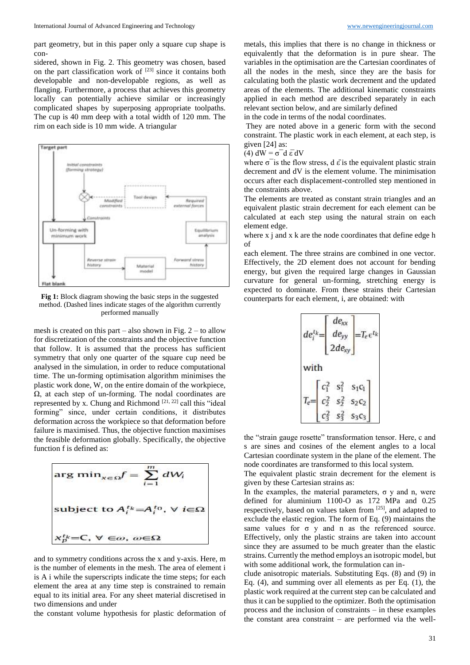sidered, shown in Fig. 2. This geometry was chosen, based on the part classification work of  $[23]$  since it contains both developable and non-developable regions, as well as flanging. Furthermore, a process that achieves this geometry locally can potentially achieve similar or increasingly complicated shapes by superposing appropriate toolpaths. The cup is 40 mm deep with a total width of 120 mm. The rim on each side is 10 mm wide. A triangular



**Fig 1:** Block diagram showing the basic steps in the suggested method. (Dashed lines indicate stages of the algorithm currently performed manually

mesh is created on this part – also shown in Fig.  $2 -$  to allow for discretization of the constraints and the objective function that follow. It is assumed that the process has sufficient symmetry that only one quarter of the square cup need be analysed in the simulation, in order to reduce computational time. The un-forming optimisation algorithm minimises the plastic work done, W, on the entire domain of the workpiece,  $Ω$ , at each step of un-forming. The nodal coordinates are represented by x. Chung and Richmond [21, 22] call this "ideal forming" since, under certain conditions, it distributes deformation across the workpiece so that deformation before failure is maximised. Thus, the objective function maximises the feasible deformation globally. Specifically, the objective function f is defined as:

arg min<sub>χ∈Ω</sub>f = 
$$
\sum_{i=1}^{m} dW_i
$$
  
\nsubject to  $A_i^{t_k} = A_i^{t_0}$ ,  $\forall i \in Ω$   
\n $\chi_p^{t_k} = C$ ,  $\forall \in ω$ ,  $\omega \in Ω$ 

and to symmetry conditions across the x and y-axis. Here, m is the number of elements in the mesh. The area of element i is A i while the superscripts indicate the time steps; for each element the area at any time step is constrained to remain equal to its initial area. For any sheet material discretised in two dimensions and under

the constant volume hypothesis for plastic deformation of

metals, this implies that there is no change in thickness or equivalently that the deformation is in pure shear. The variables in the optimisation are the Cartesian coordinates of all the nodes in the mesh, since they are the basis for calculating both the plastic work decrement and the updated areas of the elements. The additional kinematic constraints applied in each method are described separately in each relevant section below, and are similarly defined

in the code in terms of the nodal coordinates.

They are noted above in a generic form with the second constraint. The plastic work in each element, at each step, is given [24] as:

(4)  $dW = \sigma^{-} d \bar{\epsilon} dV$ 

where  $\sigma$ <sup>-</sup> is the flow stress, d  $\epsilon$  is the equivalent plastic strain decrement and dV is the element volume. The minimisation occurs after each displacement-controlled step mentioned in the constraints above.

The elements are treated as constant strain triangles and an equivalent plastic strain decrement for each element can be calculated at each step using the natural strain on each element edge.

where x j and x k are the node coordinates that define edge h of

each element. The three strains are combined in one vector. Effectively, the 2D element does not account for bending energy, but given the required large changes in Gaussian curvature for general un-forming, stretching energy is expected to dominate. From these strains their Cartesian counterparts for each element, i, are obtained: with



the "strain gauge rosette" transformation tensor. Here, c and s are sines and cosines of the element angles to a local Cartesian coordinate system in the plane of the element. The node coordinates are transformed to this local system.

The equivalent plastic strain decrement for the element is given by these Cartesian strains as:

In the examples, the material parameters,  $\sigma$  y and n, were defined for aluminium 1100-O as 172 MPa and 0.25 respectively, based on values taken from [25], and adapted to exclude the elastic region. The form of Eq. (9) maintains the same values for  $\sigma$  y and n as the referenced source. Effectively, only the plastic strains are taken into account since they are assumed to be much greater than the elastic strains. Currently the method employs an isotropic model, but with some additional work, the formulation can in-

clude anisotropic materials. Substituting Eqs. (8) and (9) in Eq. (4), and summing over all elements as per Eq. (1), the plastic work required at the current step can be calculated and thus it can be supplied to the optimizer. Both the optimisation process and the inclusion of constraints – in these examples the constant area constraint – are performed via the well-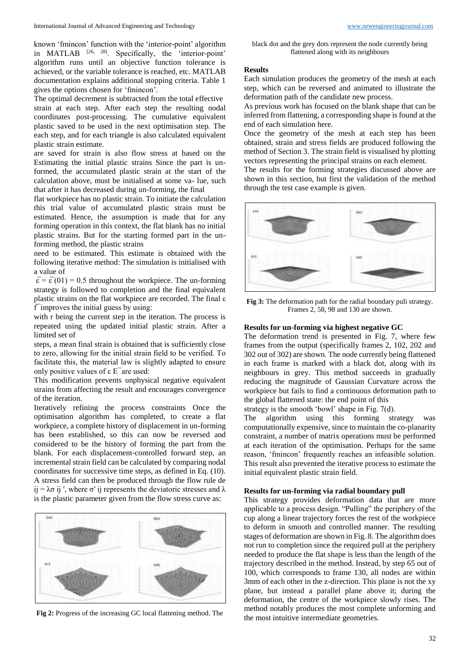known 'fmincon' function with the 'interior-point' algorithm in MATLAB <sup>[26, 28]</sup>. Specifically, the 'interior-point' algorithm runs until an objective function tolerance is achieved, or the variable tolerance is reached, etc. MATLAB documentation explains additional stopping criteria. Table 1 gives the options chosen for 'fmincon'.

The optimal decrement is subtracted from the total effective strain at each step. After each step the resulting nodal coordinates post-processing. The cumulative equivalent plastic saved to be used in the next optimisation step. The each step, and for each triangle is also calculated equivalent plastic strain estimate.

are saved for strain is also flow stress at based on the Estimating the initial plastic strains Since the part is unformed, the accumulated plastic strain at the start of the calculation above, must be initialised at some va- lue, such that after it has decreased during un-forming, the final

flat workpiece has no plastic strain. To initiate the calculation this trial value of accumulated plastic strain must be estimated. Hence, the assumption is made that for any forming operation in this context, the flat blank has no initial plastic strains. But for the starting formed part in the unforming method, the plastic strains

need to be estimated. This estimate is obtained with the following iterative method: The simulation is initialised with a value of

 $\overline{\epsilon} = \overline{\epsilon}(01) = 0.5$  throughout the workpiece. The un-forming strategy is followed to completion and the final equivalent plastic strains on the flat workpiece are recorded. The final ε f improves the initial guess by using:

with r being the current step in the iteration. The process is repeated using the updated initial plastic strain. After a limited set of

steps, a mean final strain is obtained that is sufficiently close to zero, allowing for the initial strain field to be verified. To facilitate this, the material law is slightly adapted to ensure only positive values of  $εE<sup>-</sup>$  are used:

This modification prevents unphysical negative equivalent strains from affecting the result and encourages convergence of the iteration.

Iteratively refining the process constraints Once the optimisation algorithm has completed, to create a flat workpiece, a complete history of displacement in un-forming has been established, so this can now be reversed and considered to be the history of forming the part from the blank. For each displacement-controlled forward step, an incremental strain field can be calculated by comparing nodal coordinates for successive time steps, as defined in Eq. (10). A stress field can then be produced through the flow rule de ij =  $\lambda \sigma$  ij', where  $\sigma'$  ij represents the deviatoric stresses and  $\lambda$ is the plastic parameter given from the flow stress curve as:



**Fig 2:** Progress of the increasing GC local flattening method. The

black dot and the grey dots represent the node currently being flattened along with its neighbours

#### **Results**

Each simulation produces the geometry of the mesh at each step, which can be reversed and animated to illustrate the deformation path of the candidate new process.

As previous work has focused on the blank shape that can be inferred from flattening, a corresponding shape is found at the end of each simulation here.

Once the geometry of the mesh at each step has been obtained, strain and stress fields are produced following the method of Section 3. The strain field is visualised by plotting vectors representing the principal strains on each element.

The results for the forming strategies discussed above are shown in this section, but first the validation of the method through the test case example is given.



**Fig 3:** The deformation path for the radial boundary puli strategy. Frames 2, 58, 98 and 130 are shown.

# **Results for un-forming via highest negative GC**

The deformation trend is presented in Fig. 7, where few frames from the output (specifically frames 2, 102, 202 and 302 out of 302) are shown. The node currently being flattened in each frame is marked with a black dot, along with its neighbours in grey. This method succeeds in gradually reducing the magnitude of Gaussian Curvature across the workpiece but fails to find a continuous deformation path to the global flattened state: the end point of this

strategy is the smooth 'bowl' shape in Fig. 7(d).

The algorithm using this forming strategy was computationally expensive, since to maintain the co-planarity constraint, a number of matrix operations must be performed at each iteration of the optimisation. Perhaps for the same reason, 'fmincon' frequently reaches an infeasible solution. This result also prevented the iterative process to estimate the initial equivalent plastic strain field.

# **Results for un-forming via radial boundary pull**

This strategy provides deformation data that are more applicable to a process design. "Pulling" the periphery of the cup along a linear trajectory forces the rest of the workpiece to deform in smooth and controlled manner. The resulting stages of deformation are shown in Fig. 8. The algorithm does not run to completion since the required pull at the periphery needed to produce the flat shape is less than the length of the trajectory described in the method. Instead, by step 65 out of 100, which corresponds to frame 130, all nodes are within 3mm of each other in the z-direction. This plane is not the xy plane, but instead a parallel plane above it; during the deformation, the centre of the workpiece slowly rises. The method notably produces the most complete unforming and the most intuitive intermediate geometries.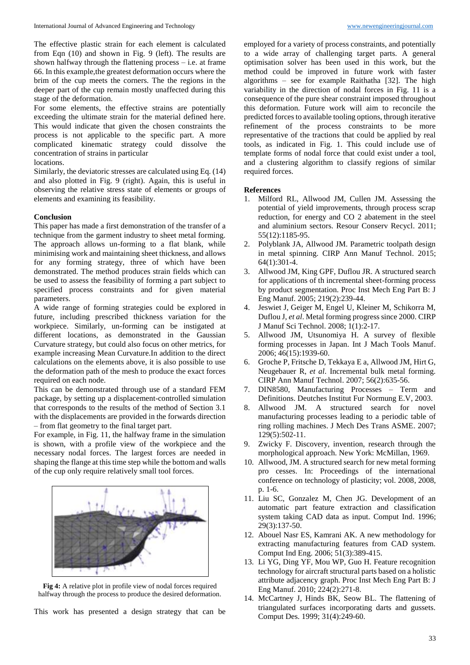The effective plastic strain for each element is calculated from Eqn (10) and shown in Fig. 9 (left). The results are shown halfway through the flattening process – i.e. at frame 66. In this example,the greatest deformation occurs where the brim of the cup meets the corners. The the regions in the deeper part of the cup remain mostly unaffected during this stage of the deformation.

For some elements, the effective strains are potentially exceeding the ultimate strain for the material defined here. This would indicate that given the chosen constraints the process is not applicable to the specific part. A more complicated kinematic strategy could dissolve the concentration of strains in particular locations.

Similarly, the deviatoric stresses are calculated using Eq. (14) and also plotted in Fig. 9 (right). Again, this is useful in observing the relative stress state of elements or groups of elements and examining its feasibility.

### **Conclusion**

This paper has made a first demonstration of the transfer of a technique from the garment industry to sheet metal forming. The approach allows un-forming to a flat blank, while minimising work and maintaining sheet thickness, and allows for any forming strategy, three of which have been demonstrated. The method produces strain fields which can be used to assess the feasibility of forming a part subject to specified process constraints and for given material parameters.

A wide range of forming strategies could be explored in future, including prescribed thickness variation for the workpiece. Similarly, un-forming can be instigated at different locations, as demonstrated in the Gaussian Curvature strategy, but could also focus on other metrics, for example increasing Mean Curvature.In addition to the direct calculations on the elements above, it is also possible to use the deformation path of the mesh to produce the exact forces required on each node.

This can be demonstrated through use of a standard FEM package, by setting up a displacement-controlled simulation that corresponds to the results of the method of Section 3.1 with the displacements are provided in the forwards direction – from flat geometry to the final target part.

For example, in Fig. 11, the halfway frame in the simulation is shown, with a profile view of the workpiece and the necessary nodal forces. The largest forces are needed in shaping the flange at this time step while the bottom and walls of the cup only require relatively small tool forces.



**Fig 4:** A relative plot in profile view of nodal forces required halfway through the process to produce the desired deformation.

This work has presented a design strategy that can be

employed for a variety of process constraints, and potentially to a wide array of challenging target parts. A general optimisation solver has been used in this work, but the method could be improved in future work with faster algorithms – see for example Raithatha [32]. The high variability in the direction of nodal forces in Fig. 11 is a consequence of the pure shear constraint imposed throughout this deformation. Future work will aim to reconcile the predicted forces to available tooling options, through iterative refinement of the process constraints to be more representative of the tractions that could be applied by real tools, as indicated in Fig. 1. This could include use of template forms of nodal force that could exist under a tool, and a clustering algorithm to classify regions of similar required forces.

### **References**

- 1. Milford RL, Allwood JM, Cullen JM. Assessing the potential of yield improvements, through process scrap reduction, for energy and CO 2 abatement in the steel and aluminium sectors. Resour Conserv Recycl. 2011; 55(12):1185-95.
- 2. Polyblank JA, Allwood JM. Parametric toolpath design in metal spinning. CIRP Ann Manuf Technol. 2015; 64(1):301-4.
- 3. Allwood JM, King GPF, Duflou JR. A structured search for applications of th incremental sheet-forming process by product segmentation. Proc Inst Mech Eng Part B: J Eng Manuf. 2005; 219(2):239-44.
- 4. Jeswiet J, Geiger M, Engel U, Kleiner M, Schikorra M, Duflou J, *et al*. Metal forming progress since 2000. CIRP J Manuf Sci Technol. 2008; 1(1):2-17.
- 5. Allwood JM, Utsunomiya H. A survey of flexible forming processes in Japan. Int J Mach Tools Manuf. 2006; 46(15):1939-60.
- 6. Groche P, Fritsche D, Tekkaya E a, Allwood JM, Hirt G, Neugebauer R, *et al*. Incremental bulk metal forming. CIRP Ann Manuf Technol. 2007; 56(2):635-56.
- 7. DIN8580, Manufacturing Processes Term and Definitions. Deutches Institut Fur Normung E.V, 2003.
- 8. Allwood JM. A structured search for novel manufacturing processes leading to a periodic table of ring rolling machines. J Mech Des Trans ASME. 2007; 129(5):502-11.
- 9. Zwicky F. Discovery, invention, research through the morphological approach. New York: McMillan, 1969.
- 10. Allwood, JM. A structured search for new metal forming pro cesses. In: Proceedings of the international conference on technology of plasticity; vol. 2008, 2008, p. 1-6.
- 11. Liu SC, Gonzalez M, Chen JG. Development of an automatic part feature extraction and classification system taking CAD data as input. Comput Ind. 1996; 29(3):137-50.
- 12. Abouel Nasr ES, Kamrani AK. A new methodology for extracting manufacturing features from CAD system. Comput Ind Eng. 2006; 51(3):389-415.
- 13. Li YG, Ding YF, Mou WP, Guo H. Feature recognition technology for aircraft structural parts based on a holistic attribute adjacency graph. Proc Inst Mech Eng Part B: J Eng Manuf. 2010; 224(2):271-8.
- 14. McCartney J, Hinds BK, Seow BL. The flattening of triangulated surfaces incorporating darts and gussets. Comput Des. 1999; 31(4):249-60.